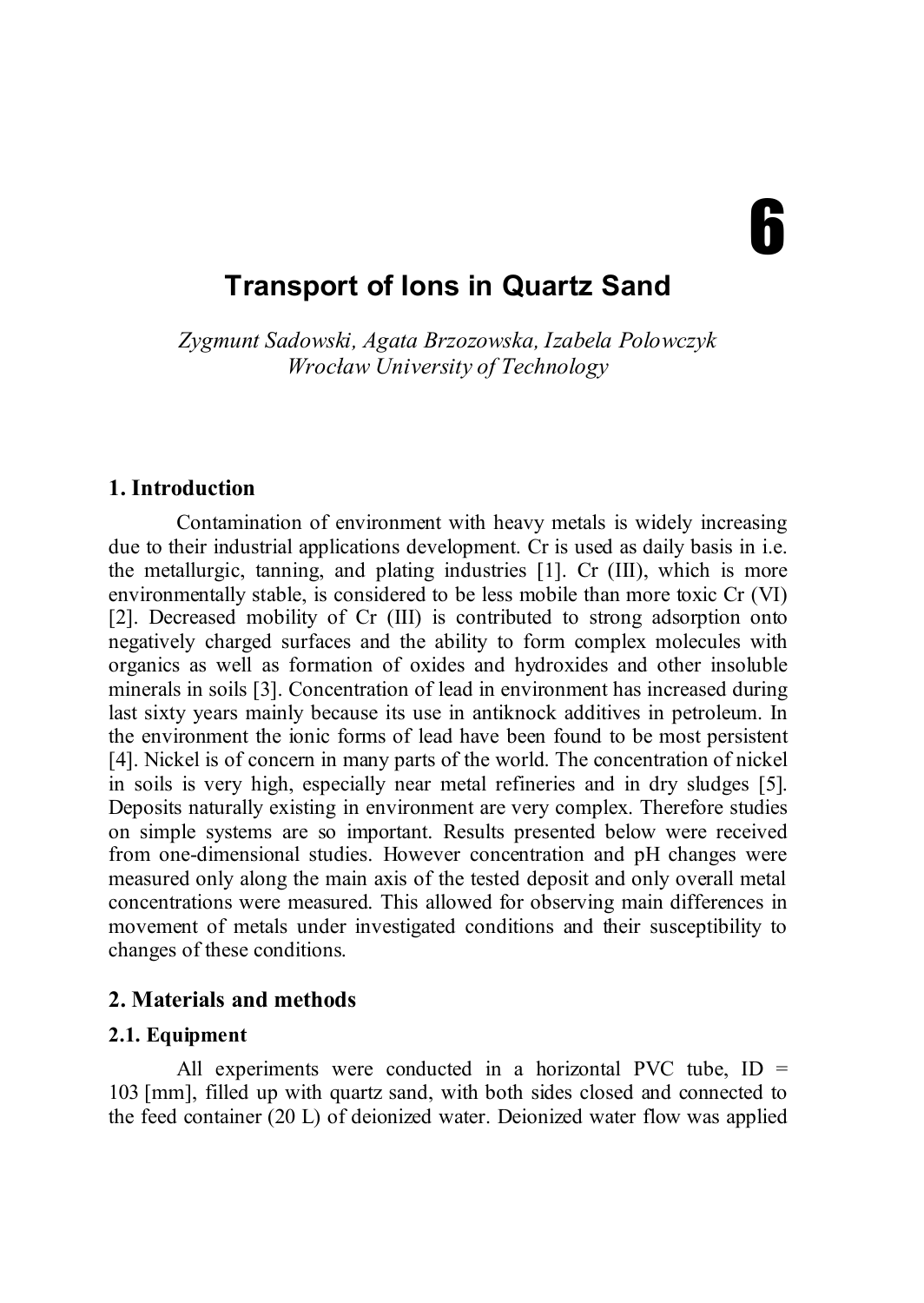# **Ƙ**

# **Transport of Ions in Quartz Sand**

*Zygmunt Sadowski, Agata Brzozowska, Izabela Polowczyk Wrocław University of Technology*

#### **1. Introduction**

Contamination of environment with heavy metals is widely increasing due to their industrial applications development. Cr is used as daily basis in i.e. the metallurgic, tanning, and plating industries [1]. Cr (III), which is more environmentally stable, is considered to be less mobile than more toxic Cr (VI) [2]. Decreased mobility of Cr (III) is contributed to strong adsorption onto negatively charged surfaces and the ability to form complex molecules with organics as well as formation of oxides and hydroxides and other insoluble minerals in soils [3]. Concentration of lead in environment has increased during last sixty years mainly because its use in antiknock additives in petroleum. In the environment the ionic forms of lead have been found to be most persistent [4]. Nickel is of concern in many parts of the world. The concentration of nickel in soils is very high, especially near metal refineries and in dry sludges [5]. Deposits naturally existing in environment are very complex. Therefore studies on simple systems are so important. Results presented below were received from one-dimensional studies. However concentration and pH changes were measured only along the main axis of the tested deposit and only overall metal concentrations were measured. This allowed for observing main differences in movement of metals under investigated conditions and their susceptibility to changes of these conditions.

## **2. Materials and methods**

## **2.1. Equipment**

All experiments were conducted in a horizontal PVC tube,  $ID =$ 103 [mm], filled up with quartz sand, with both sides closed and connected to the feed container  $(20 \text{ L})$  of deionized water. Deionized water flow was applied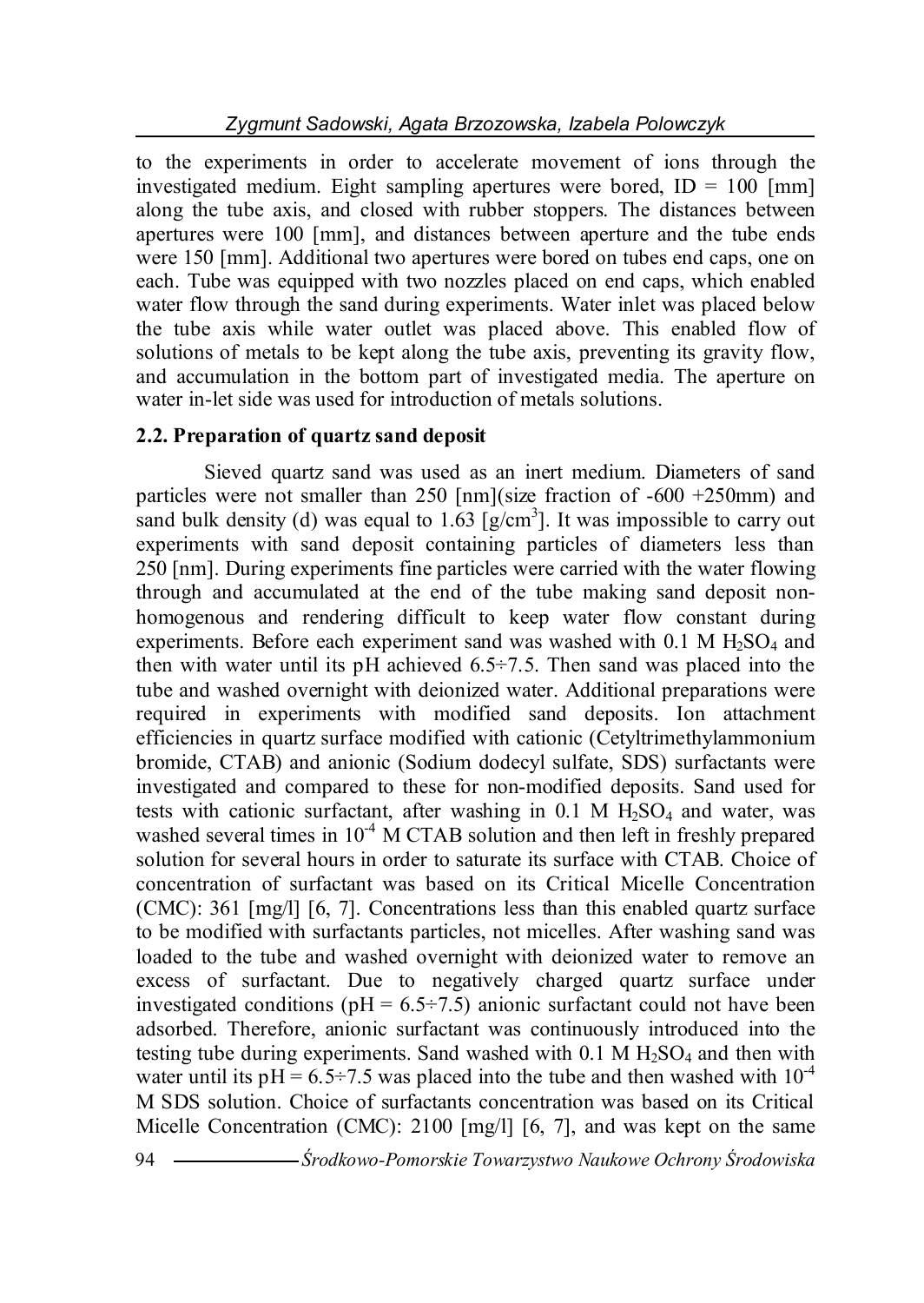to the experiments in order to accelerate movement of ions through the investigated medium. Eight sampling apertures were bored,  $ID = 100$  [mm] along the tube axis, and closed with rubber stoppers. The distances between apertures were 100 [mm], and distances between aperture and the tube ends were 150 [mm]. Additional two apertures were bored on tubes end caps, one on each. Tube was equipped with two nozzles placed on end caps, which enabled water flow through the sand during experiments. Water inlet was placed below the tube axis while water outlet was placed above. This enabled flow of solutions of metals to be kept along the tube axis, preventing its gravity flow, and accumulation in the bottom part of investigated media. The aperture on water in-let side was used for introduction of metals solutions.

## **2.2. Preparation of quartz sand deposit**

Sieved quartz sand was used as an inert medium. Diameters of sand particles were not smaller than 250 [nm](size fraction of -600 +250mm) and sand bulk density (d) was equal to  $1.63$  [g/cm<sup>3</sup>]. It was impossible to carry out experiments with sand deposit containing particles of diameters less than 250 [nm]. During experiments fine particles were carried with the water flowing through and accumulated at the end of the tube making sand deposit nonhomogenous and rendering difficult to keep water flow constant during experiments. Before each experiment sand was washed with  $0.1 \text{ M H}_2\text{SO}_4$  and then with water until its pH achieved  $6.5\div 7.5$ . Then sand was placed into the tube and washed overnight with deionized water. Additional preparations were required in experiments with modified sand deposits. Ion attachment efficiencies in quartz surface modified with cationic (Cetyltrimethylammonium bromide, CTAB) and anionic (Sodium dodecyl sulfate, SDS) surfactants were investigated and compared to these for non-modified deposits. Sand used for tests with cationic surfactant, after washing in  $0.1$  M  $H<sub>2</sub>SO<sub>4</sub>$  and water, was washed several times in  $10^{-4}$  M CTAB solution and then left in freshly prepared solution for several hours in order to saturate its surface with CTAB. Choice of concentration of surfactant was based on its Critical Micelle Concentration (CMC): 361 [mg/l] [6, 7]. Concentrations less than this enabled quartz surface to be modified with surfactants particles, not micelles. After washing sand was loaded to the tube and washed overnight with deionized water to remove an excess of surfactant. Due to negatively charged quartz surface under investigated conditions ( $pH = 6.5 \div 7.5$ ) anionic surfactant could not have been adsorbed. Therefore, anionic surfactant was continuously introduced into the testing tube during experiments. Sand washed with  $0.1$  M  $H<sub>2</sub>SO<sub>4</sub>$  and then with water until its  $pH = 6.5 \div 7.5$  was placed into the tube and then washed with  $10^{-4}$ M SDS solution. Choice of surfactants concentration was based on its Critical Micelle Concentration (CMC): 2100 [mg/l] [6, 7], and was kept on the same

<sup>94</sup> *Środkowo-Pomorskie Towarzystwo Naukowe Ochrony Środowiska*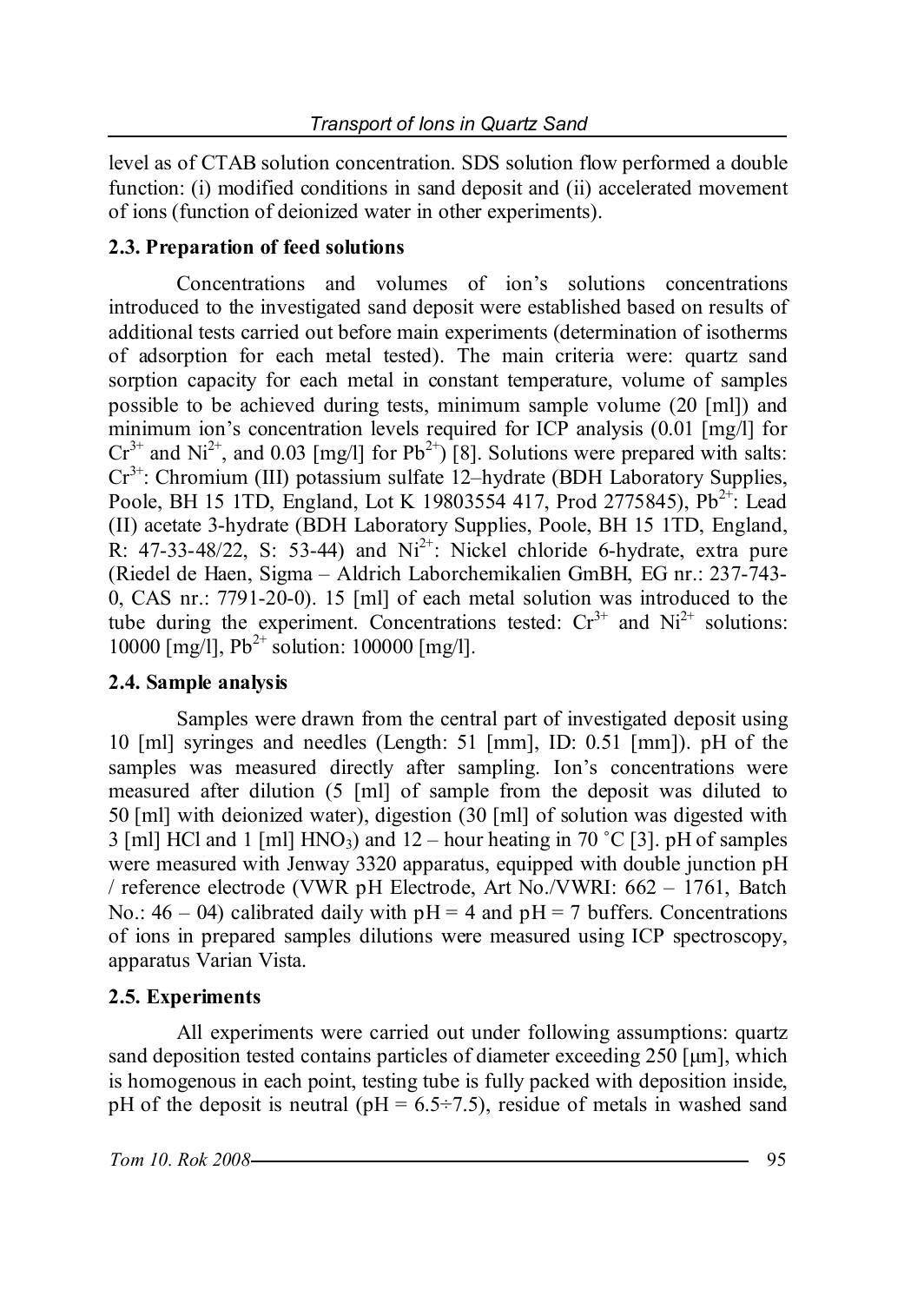level as of CTAB solution concentration. SDS solution flow performed a double function: (i) modified conditions in sand deposit and (ii) accelerated movement of ions (function of deionized water in other experiments).

## **2.3. Preparation of feed solutions**

Concentrations and volumes of ion's solutions concentrations introduced to the investigated sand deposit were established based on results of additional tests carried out before main experiments (determination of isotherms of adsorption for each metal tested). The main criteria were: quartz sand sorption capacity for each metal in constant temperature, volume of samples possible to be achieved during tests, minimum sample volume (20 [ml]) and minimum ion's concentration levels required for ICP analysis (0.01 [mg/l] for  $Cr^{3+}$  and Ni<sup>2+</sup>, and 0.03 [mg/l] for Pb<sup>2+</sup>) [8]. Solutions were prepared with salts: Cr3+: Chromium (III) potassium sulfate 12–hydrate (BDH Laboratory Supplies, Poole, BH 15 1TD, England, Lot K 19803554 417, Prod 2775845), Pb<sup>2+</sup>: Lead (II) acetate 3-hydrate (BDH Laboratory Supplies, Poole, BH 15 1TD, England, R:  $47-33-48/22$ , S:  $53-44$ ) and  $Ni<sup>2+</sup>$ : Nickel chloride 6-hydrate, extra pure (Riedel de Haen, Sigma – Aldrich Laborchemikalien GmBH, EG nr.: 237-743- 0, CAS nr.: 7791-20-0). 15 [ml] of each metal solution was introduced to the tube during the experiment. Concentrations tested:  $Cr^{3+}$  and  $Ni^{2+}$  solutions: 10000  $\text{Im}z/1$ ],  $\text{Pb}^{2+}$  solution: 100000  $\text{Im}z/1$ ].

## **2.4. Sample analysis**

Samples were drawn from the central part of investigated deposit using 10 [ml] syringes and needles (Length: 51 [mm], ID: 0.51 [mm]). pH of the samples was measured directly after sampling. Ion's concentrations were measured after dilution (5 [ml] of sample from the deposit was diluted to 50 [ml] with deionized water), digestion (30 [ml] of solution was digested with 3 [ml] HCl and 1 [ml] HNO<sub>3</sub>) and  $12$  – hour heating in 70 °C [3]. pH of samples were measured with Jenway 3320 apparatus, equipped with double junction pH / reference electrode (VWR pH Electrode, Art No./VWRI: 662 – 1761, Batch No.:  $46 - 04$ ) calibrated daily with  $pH = 4$  and  $pH = 7$  buffers. Concentrations of ions in prepared samples dilutions were measured using ICP spectroscopy, apparatus Varian Vista.

## **2.5. Experiments**

All experiments were carried out under following assumptions: quartz sand deposition tested contains particles of diameter exceeding 250 [μm], which is homogenous in each point, testing tube is fully packed with deposition inside, pH of the deposit is neutral (pH =  $6.5\div7.5$ ), residue of metals in washed sand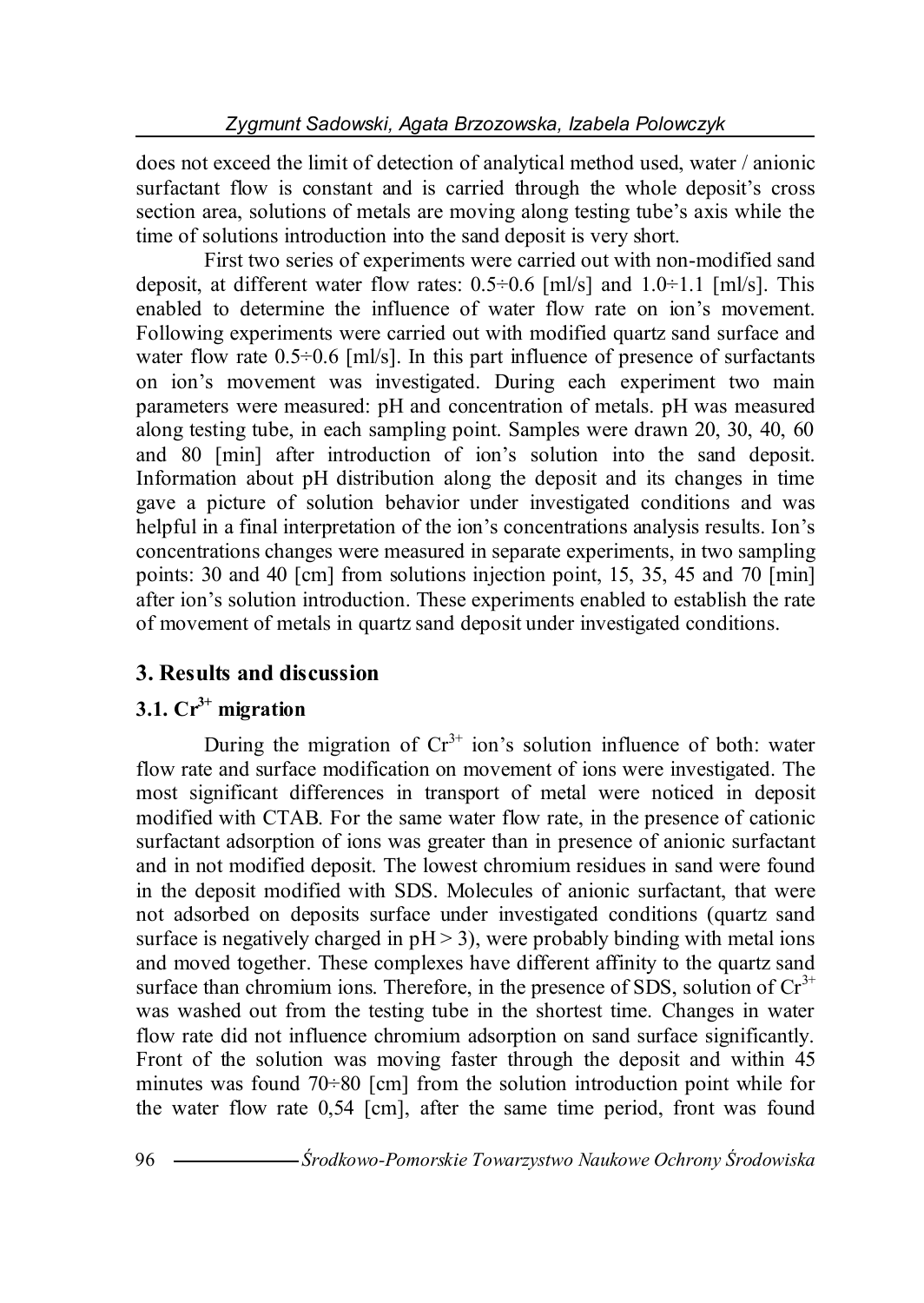does not exceed the limit of detection of analytical method used, water / anionic surfactant flow is constant and is carried through the whole deposit's cross section area, solutions of metals are moving along testing tube's axis while the time of solutions introduction into the sand deposit is very short.

First two series of experiments were carried out with non-modified sand deposit, at different water flow rates:  $0.5 \div 0.6$  [ml/s] and  $1.0 \div 1.1$  [ml/s]. This enabled to determine the influence of water flow rate on ion's movement. Following experiments were carried out with modified quartz sand surface and water flow rate  $0.5\div0.6$  [ml/s]. In this part influence of presence of surfactants on ion's movement was investigated. During each experiment two main parameters were measured: pH and concentration of metals. pH was measured along testing tube, in each sampling point. Samples were drawn 20, 30, 40, 60 and 80 [min] after introduction of ion's solution into the sand deposit. Information about pH distribution along the deposit and its changes in time gave a picture of solution behavior under investigated conditions and was helpful in a final interpretation of the ion's concentrations analysis results. Ion's concentrations changes were measured in separate experiments, in two sampling points: 30 and 40 [cm] from solutions injection point, 15, 35, 45 and 70 [min] after ion's solution introduction. These experiments enabled to establish the rate of movement of metals in quartz sand deposit under investigated conditions.

# **3. Results and discussion**

# **3.1. Cr3+ migration**

During the migration of  $Cr^{3+}$  ion's solution influence of both: water flow rate and surface modification on movement of ions were investigated. The most significant differences in transport of metal were noticed in deposit modified with CTAB. For the same water flow rate, in the presence of cationic surfactant adsorption of ions was greater than in presence of anionic surfactant and in not modified deposit. The lowest chromium residues in sand were found in the deposit modified with SDS. Molecules of anionic surfactant, that were not adsorbed on deposits surface under investigated conditions (quartz sand surface is negatively charged in  $pH > 3$ ), were probably binding with metal ions and moved together. These complexes have different affinity to the quartz sand surface than chromium ions. Therefore, in the presence of SDS, solution of  $Cr<sup>3+</sup>$ was washed out from the testing tube in the shortest time. Changes in water flow rate did not influence chromium adsorption on sand surface significantly. Front of the solution was moving faster through the deposit and within 45 minutes was found  $70\div 80$  [cm] from the solution introduction point while for the water flow rate 0,54 [cm], after the same time period, front was found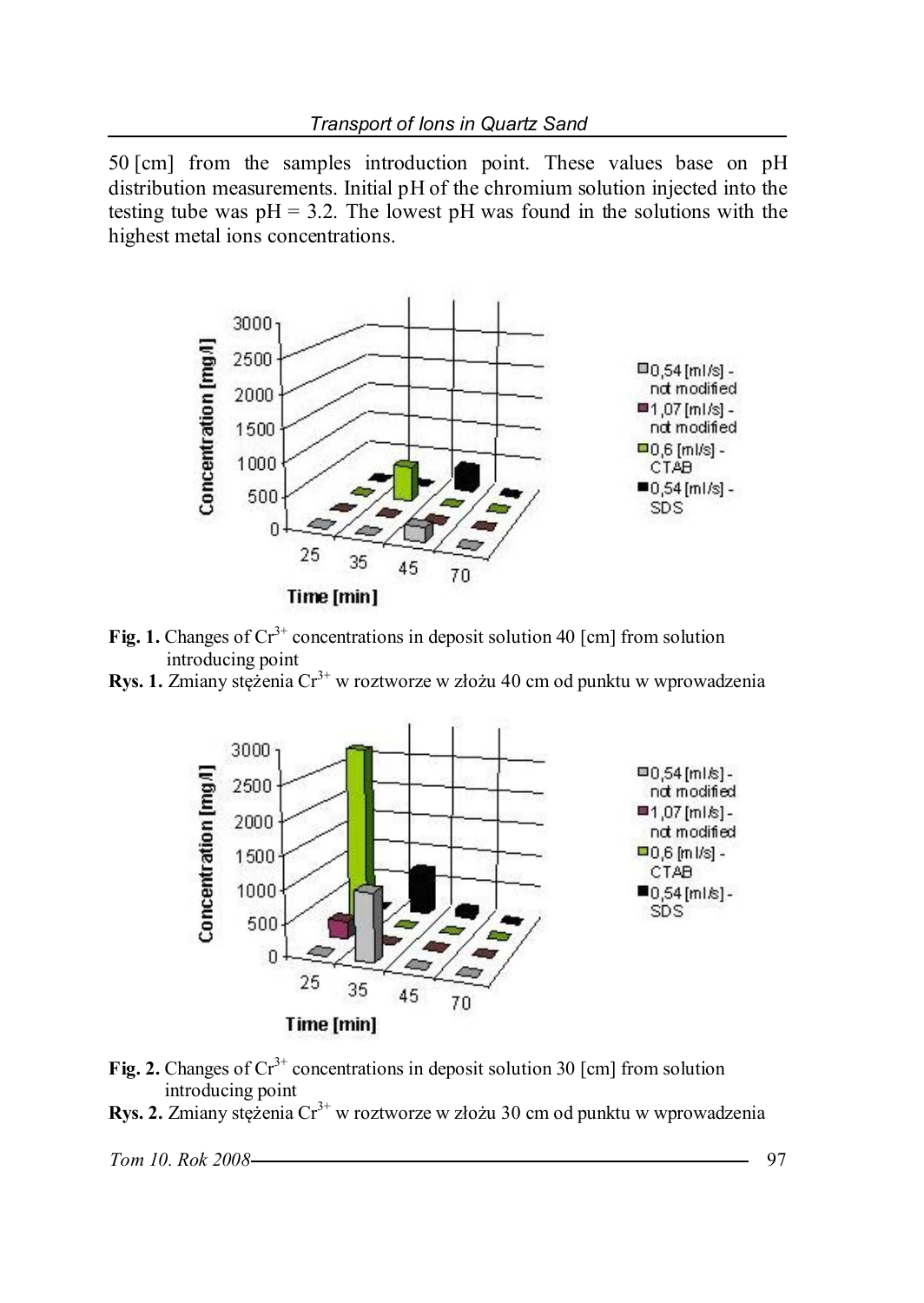50 [cm] from the samples introduction point. These values base on pH distribution measurements. Initial pH of the chromium solution injected into the testing tube was  $pH = 3.2$ . The lowest  $pH$  was found in the solutions with the highest metal ions concentrations.



- **Fig. 1.** Changes of  $Cr^{3+}$  concentrations in deposit solution 40 [cm] from solution introducing point
- **Rys. 1.** Zmiany stężenia Cr<sup>3+</sup> w roztworze w złożu 40 cm od punktu w wprowadzenia



- **Fig. 2.** Changes of  $Cr^{3+}$  concentrations in deposit solution 30 [cm] from solution introducing point
- **Rys. 2.** Zmiany stężenia Cr<sup>3+</sup> w roztworze w złożu 30 cm od punktu w wprowadzenia

*Tom 10. Rok 2008* 97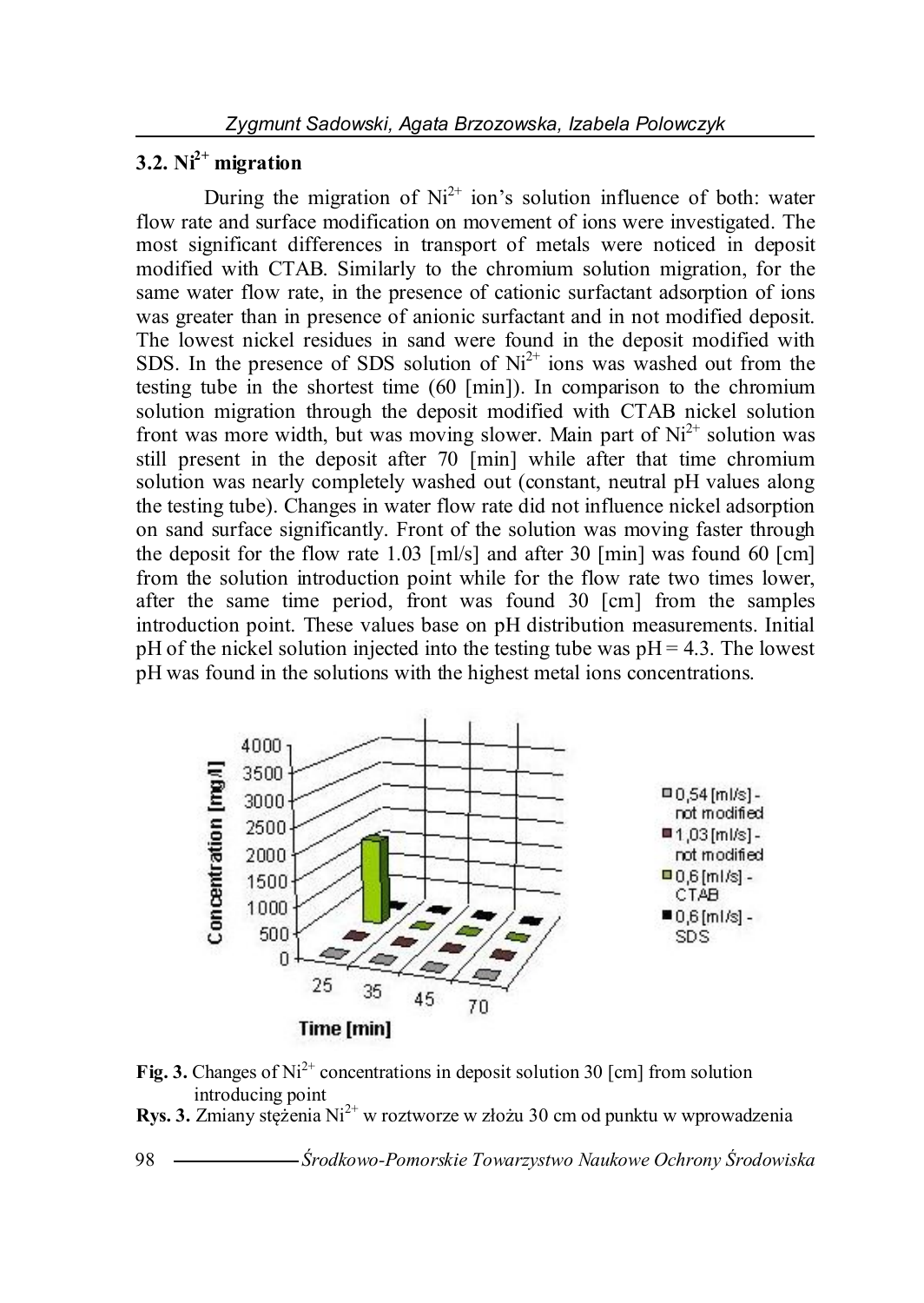## **3.2. Ni2+ migration**

During the migration of  $Ni<sup>2+</sup>$  ion's solution influence of both: water flow rate and surface modification on movement of ions were investigated. The most significant differences in transport of metals were noticed in deposit modified with CTAB. Similarly to the chromium solution migration, for the same water flow rate, in the presence of cationic surfactant adsorption of ions was greater than in presence of anionic surfactant and in not modified deposit. The lowest nickel residues in sand were found in the deposit modified with SDS. In the presence of SDS solution of  $Ni<sup>2+</sup>$  ions was washed out from the testing tube in the shortest time (60 [min]). In comparison to the chromium solution migration through the deposit modified with CTAB nickel solution front was more width, but was moving slower. Main part of  $Ni<sup>2+</sup>$  solution was still present in the deposit after 70 [min] while after that time chromium solution was nearly completely washed out (constant, neutral pH values along the testing tube). Changes in water flow rate did not influence nickel adsorption on sand surface significantly. Front of the solution was moving faster through the deposit for the flow rate 1.03 [ml/s] and after 30 [min] was found 60 [cm] from the solution introduction point while for the flow rate two times lower, after the same time period, front was found 30 [cm] from the samples introduction point. These values base on pH distribution measurements. Initial pH of the nickel solution injected into the testing tube was  $pH = 4.3$ . The lowest pH was found in the solutions with the highest metal ions concentrations.



- **Fig. 3.** Changes of  $Ni^{2+}$  concentrations in deposit solution 30 [cm] from solution introducing point
- **Rys. 3.** Zmiany stężenia Ni<sup>2+</sup> w roztworze w złożu 30 cm od punktu w wprowadzenia

98 *Środkowo-Pomorskie Towarzystwo Naukowe Ochrony Środowiska*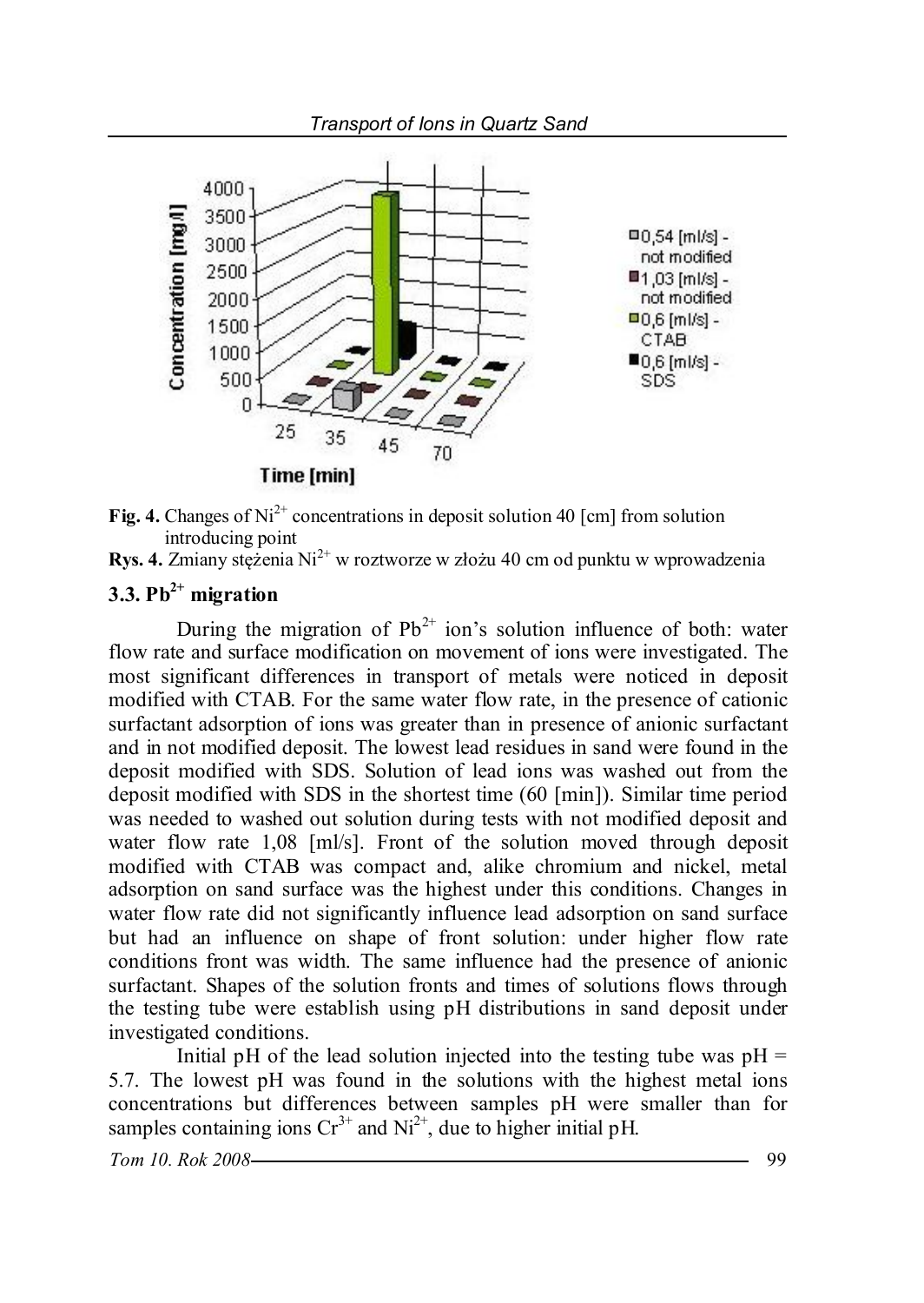



**Rys. 4.** Zmiany stężenia Ni<sup>2+</sup> w roztworze w złożu 40 cm od punktu w wprowadzenia

# **3.3. Pb2+ migration**

During the migration of  $Pb^{2+}$  ion's solution influence of both: water flow rate and surface modification on movement of ions were investigated. The most significant differences in transport of metals were noticed in deposit modified with CTAB. For the same water flow rate, in the presence of cationic surfactant adsorption of ions was greater than in presence of anionic surfactant and in not modified deposit. The lowest lead residues in sand were found in the deposit modified with SDS. Solution of lead ions was washed out from the deposit modified with SDS in the shortest time (60 [min]). Similar time period was needed to washed out solution during tests with not modified deposit and water flow rate 1,08 [ml/s]. Front of the solution moved through deposit modified with CTAB was compact and, alike chromium and nickel, metal adsorption on sand surface was the highest under this conditions. Changes in water flow rate did not significantly influence lead adsorption on sand surface but had an influence on shape of front solution: under higher flow rate conditions front was width. The same influence had the presence of anionic surfactant. Shapes of the solution fronts and times of solutions flows through the testing tube were establish using pH distributions in sand deposit under investigated conditions.

Initial pH of the lead solution injected into the testing tube was  $pH =$ 5.7. The lowest pH was found in the solutions with the highest metal ions concentrations but differences between samples pH were smaller than for samples containing ions  $Cr^{3+}$  and  $Ni^{2+}$ , due to higher initial pH.

*Tom 10. Rok 2008* 99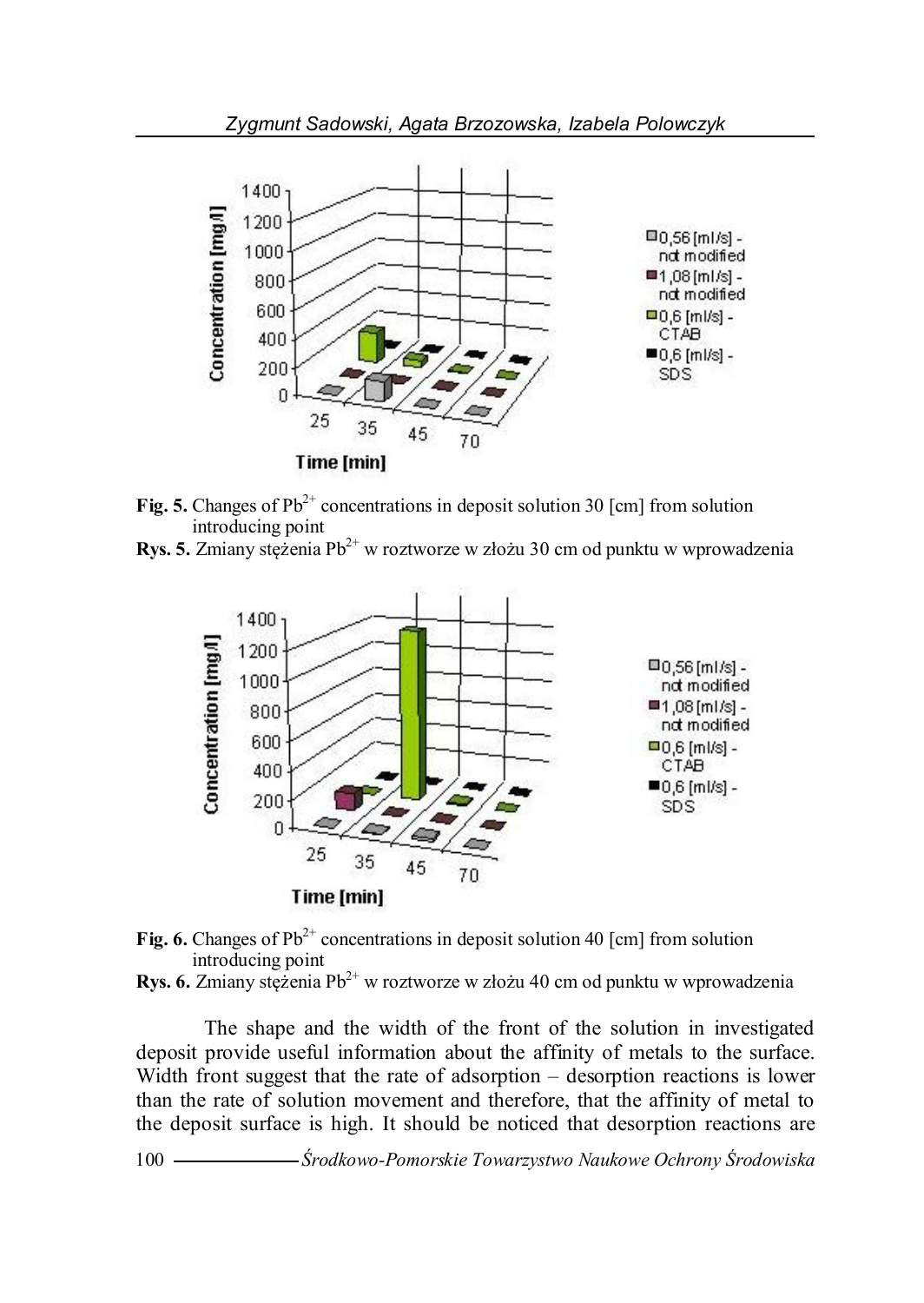

- **Fig. 5.** Changes of  $Pb^{2+}$  concentrations in deposit solution 30 [cm] from solution introducing point
- **Rys. 5.** Zmiany stężenia Pb<sup>2+</sup> w roztworze w złożu 30 cm od punktu w wprowadzenia





**Rys. 6.** Zmiany stężenia Pb<sup>2+</sup> w roztworze w złożu 40 cm od punktu w wprowadzenia

The shape and the width of the front of the solution in investigated deposit provide useful information about the affinity of metals to the surface. Width front suggest that the rate of adsorption – desorption reactions is lower than the rate of solution movement and therefore, that the affinity of metal to the deposit surface is high. It should be noticed that desorption reactions are

100 *Środkowo-Pomorskie Towarzystwo Naukowe Ochrony Środowiska*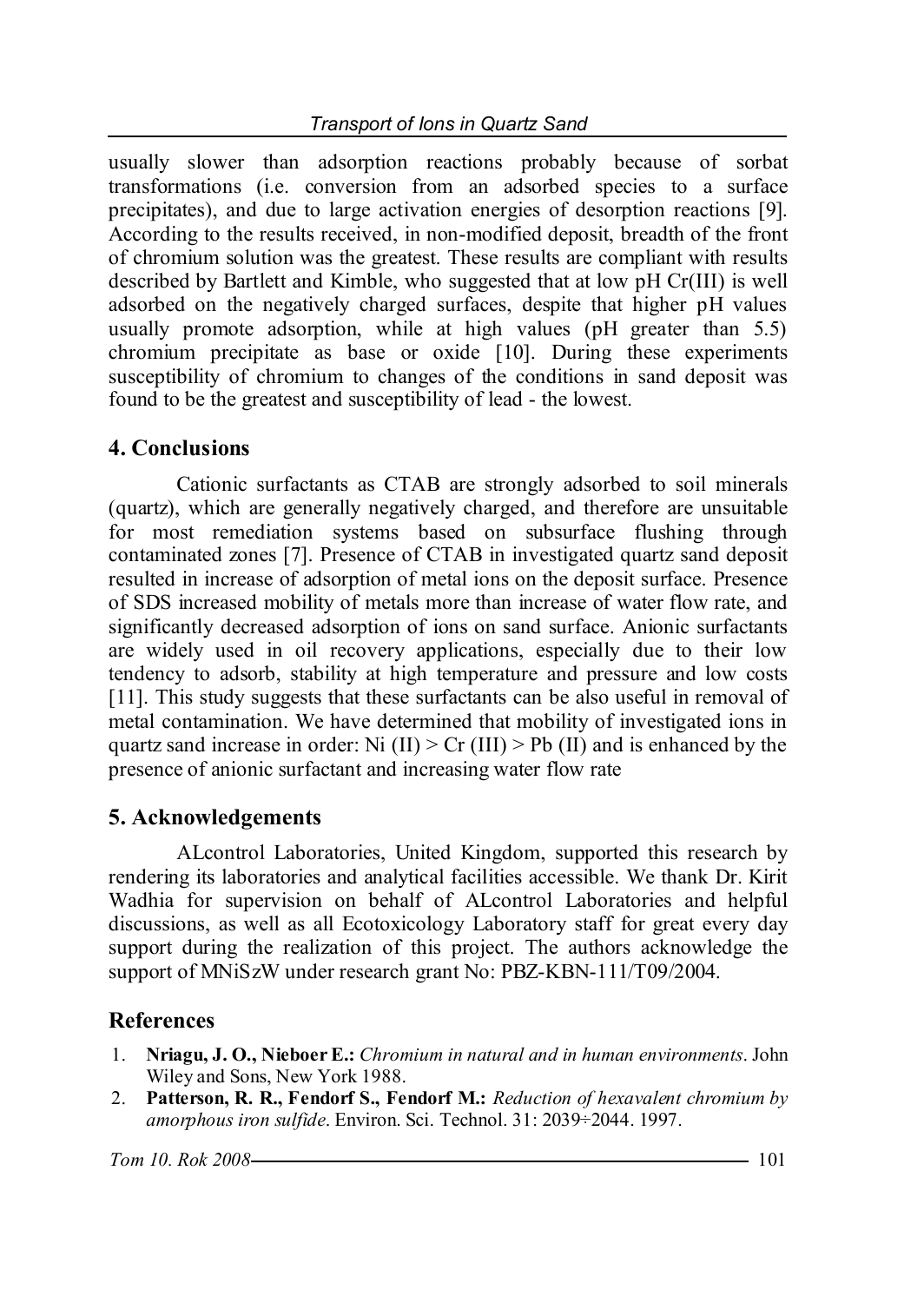usually slower than adsorption reactions probably because of sorbat transformations (i.e. conversion from an adsorbed species to a surface precipitates), and due to large activation energies of desorption reactions [9]. According to the results received, in non-modified deposit, breadth of the front of chromium solution was the greatest. These results are compliant with results described by Bartlett and Kimble, who suggested that at low pH Cr(III) is well adsorbed on the negatively charged surfaces, despite that higher pH values usually promote adsorption, while at high values (pH greater than 5.5) chromium precipitate as base or oxide [10]. During these experiments susceptibility of chromium to changes of the conditions in sand deposit was found to be the greatest and susceptibility of lead - the lowest.

## **4. Conclusions**

Cationic surfactants as CTAB are strongly adsorbed to soil minerals (quartz), which are generally negatively charged, and therefore are unsuitable for most remediation systems based on subsurface flushing through contaminated zones [7]. Presence of CTAB in investigated quartz sand deposit resulted in increase of adsorption of metal ions on the deposit surface. Presence of SDS increased mobility of metals more than increase of water flow rate, and significantly decreased adsorption of ions on sand surface. Anionic surfactants are widely used in oil recovery applications, especially due to their low tendency to adsorb, stability at high temperature and pressure and low costs [11]. This study suggests that these surfactants can be also useful in removal of metal contamination. We have determined that mobility of investigated ions in quartz sand increase in order: Ni  $(II) > Cr (III) > Pb (II)$  and is enhanced by the presence of anionic surfactant and increasing water flow rate

## **5. Acknowledgements**

ALcontrol Laboratories, United Kingdom, supported this research by rendering its laboratories and analytical facilities accessible. We thank Dr. Kirit Wadhia for supervision on behalf of ALcontrol Laboratories and helpful discussions, as well as all Ecotoxicology Laboratory staff for great every day support during the realization of this project. The authors acknowledge the support of MNiSzW under research grant No: PBZ-KBN-111/T09/2004.

## **References**

- 1. **Nriagu, J. O., Nieboer E.:** *Chromium in natural and in human environments*. John Wiley and Sons, New York 1988.
- 2. **Patterson, R. R., Fendorf S., Fendorf M.:** *Reduction of hexavalent chromium by amorphous iron sulfide*. Environ. Sci. Technol. 31: 2039÷2044. 1997.

*Tom 10. Rok 2008* 101